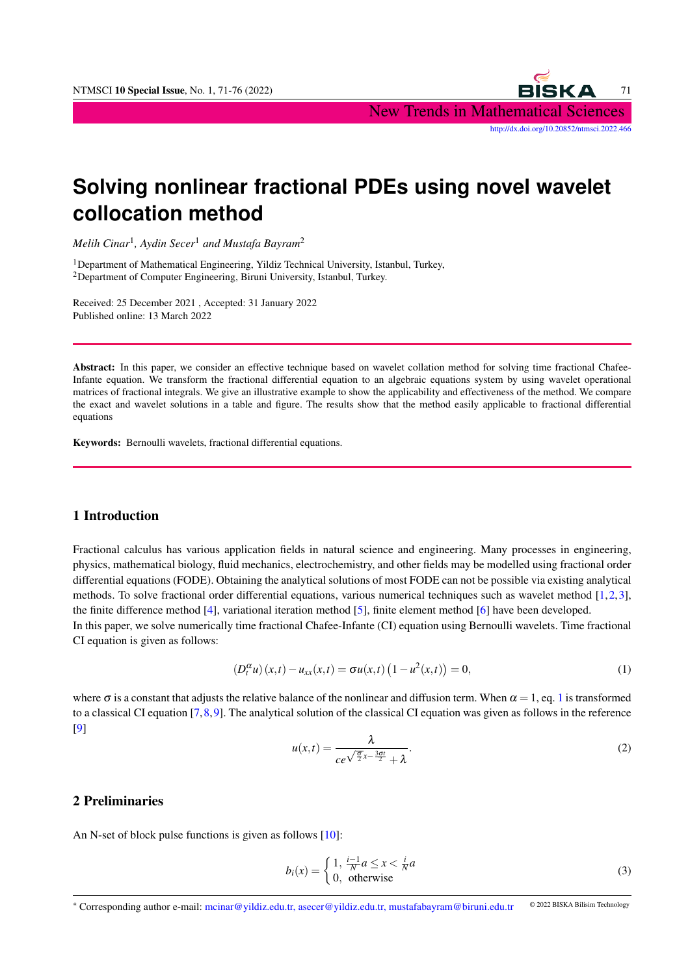

# **Solving nonlinear fractional PDEs using novel wavelet collocation method**

*Melih Cinar*<sup>1</sup> *, Aydin Secer*<sup>1</sup> *and Mustafa Bayram*<sup>2</sup>

<sup>1</sup>Department of Mathematical Engineering, Yildiz Technical University, Istanbul, Turkey, <sup>2</sup>Department of Computer Engineering, Biruni University, Istanbul, Turkey.

Received: 25 December 2021 , Accepted: 31 January 2022 Published online: 13 March 2022

Abstract: In this paper, we consider an effective technique based on wavelet collation method for solving time fractional Chafee-Infante equation. We transform the fractional differential equation to an algebraic equations system by using wavelet operational matrices of fractional integrals. We give an illustrative example to show the applicability and effectiveness of the method. We compare the exact and wavelet solutions in a table and figure. The results show that the method easily applicable to fractional differential equations

Keywords: Bernoulli wavelets, fractional differential equations.

## 1 Introduction

Fractional calculus has various application fields in natural science and engineering. Many processes in engineering, physics, mathematical biology, fluid mechanics, electrochemistry, and other fields may be modelled using fractional order differential equations (FODE). Obtaining the analytical solutions of most FODE can not be possible via existing analytical methods. To solve fractional order differential equations, various numerical techniques such as wavelet method [\[1,](#page-5-0)[2,](#page-5-1)[3\]](#page-5-2), the finite difference method [\[4\]](#page-5-3), variational iteration method [\[5\]](#page-5-4), finite element method [\[6\]](#page-5-5) have been developed.

In this paper, we solve numerically time fractional Chafee-Infante (CI) equation using Bernoulli wavelets. Time fractional CI equation is given as follows:

<span id="page-0-0"></span>
$$
(D_t^{\alpha} u)(x,t) - u_{xx}(x,t) = \sigma u(x,t) (1 - u^2(x,t)) = 0,
$$
\n(1)

where  $\sigma$  is a constant that adjusts the relative balance of the nonlinear and diffusion term. When  $\alpha = 1$  $\alpha = 1$ , eq. 1 is transformed to a classical CI equation [\[7,](#page-5-6)[8,](#page-5-7)[9\]](#page-5-8). The analytical solution of the classical CI equation was given as follows in the reference [\[9\]](#page-5-8)

$$
u(x,t) = \frac{\lambda}{ce^{\sqrt{\frac{\sigma}{2}}x - \frac{3\sigma t}{2}} + \lambda}.
$$
 (2)

## 2 Preliminaries

An N-set of block pulse functions is given as follows [\[10\]](#page-5-9):

$$
b_i(x) = \begin{cases} 1, & \frac{i-1}{N}a \le x < \frac{i}{N}a \\ 0, & \text{otherwise} \end{cases} \tag{3}
$$

<sup>∗</sup> Corresponding author e-mail: mcinar@yildiz.edu.tr, asecer@yildiz.edu.tr, mustafabayram@biruni.edu.tr © 2022 BISKA Bilisim Technology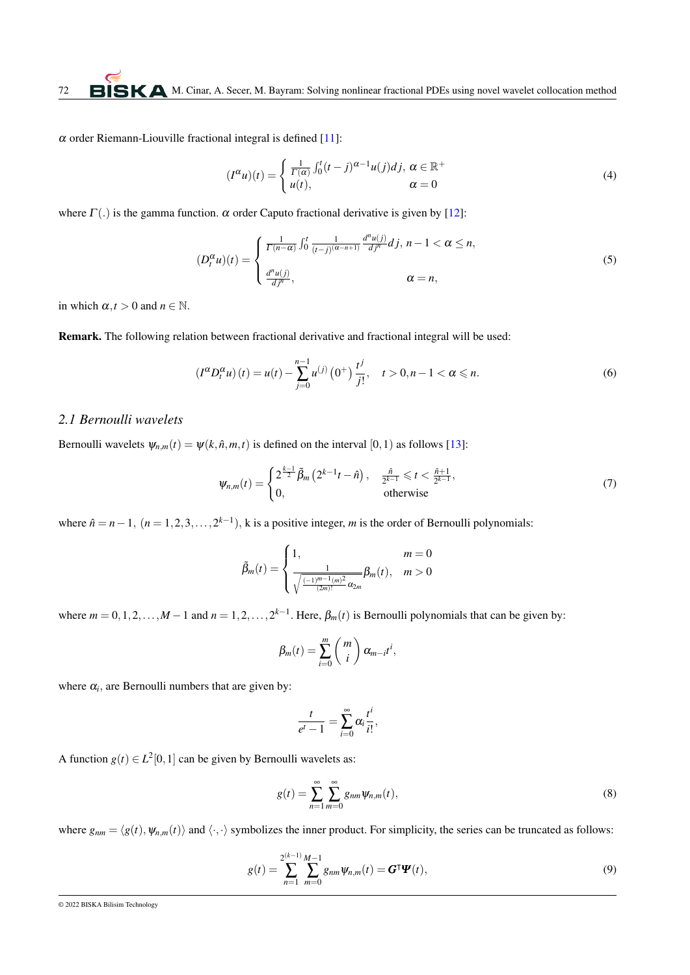$\alpha$  order Riemann-Liouville fractional integral is defined [\[11\]](#page-5-10):

$$
(I^{\alpha}u)(t) = \begin{cases} \frac{1}{\Gamma(\alpha)} \int_0^t (t-j)^{\alpha-1} u(j) \, dt, & \alpha \in \mathbb{R}^+ \\ u(t), & \alpha = 0 \end{cases} \tag{4}
$$

where  $\Gamma(.)$  is the gamma function.  $\alpha$  order Caputo fractional derivative is given by [\[12\]](#page-5-11):

$$
(D_t^{\alpha}u)(t) = \begin{cases} \frac{1}{\Gamma(n-\alpha)} \int_0^t \frac{1}{(t-j)^{(\alpha-n+1)}} \frac{d^n u(j)}{dj^n} dj, \ n-1 < \alpha \le n, \\ \frac{d^n u(j)}{dj^n}, \n\alpha = n, \end{cases}
$$
\n
$$
(5)
$$

in which  $\alpha$ ,  $t > 0$  and  $n \in \mathbb{N}$ .

Remark. The following relation between fractional derivative and fractional integral will be used:

$$
(I^{\alpha}D_t^{\alpha}u)(t) = u(t) - \sum_{j=0}^{n-1} u^{(j)}(0^+) \frac{t^j}{j!}, \quad t > 0, n-1 < \alpha \le n.
$$
 (6)

#### *2.1 Bernoulli wavelets*

Bernoulli wavelets  $\psi_{n,m}(t) = \psi(k,\hat{n},m,t)$  is defined on the interval [0,1) as follows [\[13\]](#page-5-12):

$$
\psi_{n,m}(t) = \begin{cases} 2^{\frac{k-1}{2}} \tilde{\beta}_m \left( 2^{k-1} t - \hat{n} \right), & \frac{\hat{n}}{2^{k-1}} \leq t < \frac{\hat{n}+1}{2^{k-1}}, \\ 0, & \text{otherwise} \end{cases}
$$
(7)

where  $\hat{n} = n - 1$ ,  $(n = 1, 2, 3, \dots, 2^{k-1})$ , k is a positive integer, *m* is the order of Bernoulli polynomials:

$$
\tilde{\beta}_m(t) = \begin{cases} 1, & m = 0\\ \frac{1}{\sqrt{\frac{(-1)^{m-1}(m)^2}{(2m)!}} \alpha_{2m}} \beta_m(t), & m > 0 \end{cases}
$$

where  $m = 0, 1, 2, \ldots, M - 1$  and  $n = 1, 2, \ldots, 2^{k-1}$ . Here,  $\beta_m(t)$  is Bernoulli polynomials that can be given by:

$$
\beta_m(t) = \sum_{i=0}^m \binom{m}{i} \alpha_{m-i} t^i,
$$

where  $\alpha_i$ , are Bernoulli numbers that are given by:

$$
\frac{t}{e^t-1}=\sum_{i=0}^\infty \alpha_i \frac{t^i}{i!},
$$

A function  $g(t) \in L^2[0,1]$  can be given by Bernoulli wavelets as:

$$
g(t) = \sum_{n=1}^{\infty} \sum_{m=0}^{\infty} g_{nm} \Psi_{n,m}(t),
$$
\n(8)

where  $g_{nm} = \langle g(t), \psi_{n,m}(t) \rangle$  and  $\langle \cdot, \cdot \rangle$  symbolizes the inner product. For simplicity, the series can be truncated as follows:

$$
g(t) = \sum_{n=1}^{2^{(k-1)}} \sum_{m=0}^{M-1} g_{nm} \psi_{n,m}(t) = G^{\mathsf{T}} \Psi(t), \tag{9}
$$

<sup>© 2022</sup> BISKA Bilisim Technology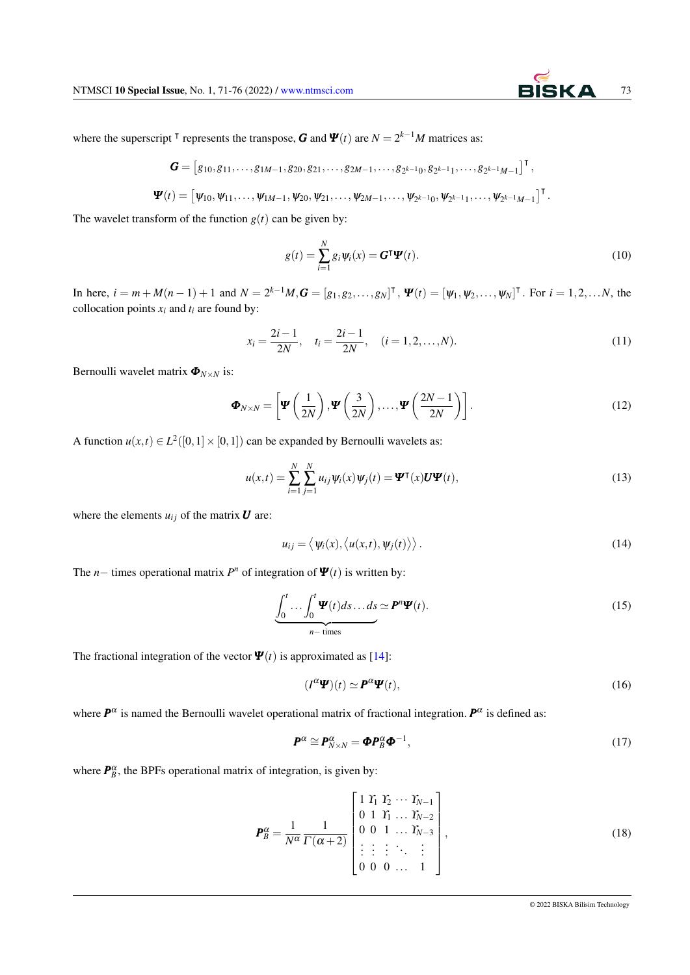where the superscript <sup>T</sup> represents the transpose, *G* and  $\Psi(t)$  are  $N = 2^{k-1}M$  matrices as:

$$
\mathbf{G} = [g_{10}, g_{11}, \ldots, g_{1M-1}, g_{20}, g_{21}, \ldots, g_{2M-1}, \ldots, g_{2k-10}, g_{2k-11}, \ldots, g_{2k-1M-1}]^{\mathsf{T}},
$$
  

$$
\mathbf{\Psi}(t) = [\psi_{10}, \psi_{11}, \ldots, \psi_{1M-1}, \psi_{20}, \psi_{21}, \ldots, \psi_{2M-1}, \ldots, \psi_{2k-10}, \psi_{2k-11}, \ldots, \psi_{2k-1M-1}]^{\mathsf{T}}.
$$

The wavelet transform of the function  $g(t)$  can be given by:

$$
g(t) = \sum_{i=1}^{N} g_i \psi_i(x) = G^{\mathsf{T}} \Psi(t).
$$
 (10)

In here,  $i = m + M(n-1) + 1$  and  $N = 2^{k-1}M$ ,  $\mathbf{G} = [g_1, g_2, \dots, g_N]^\mathsf{T}$ ,  $\mathbf{\Psi}(t) = [\psi_1, \psi_2, \dots, \psi_N]^\mathsf{T}$ . For  $i = 1, 2, \dots N$ , the collocation points  $x_i$  and  $t_i$  are found by:

$$
x_i = \frac{2i - 1}{2N}, \quad t_i = \frac{2i - 1}{2N}, \quad (i = 1, 2, \dots, N).
$$
 (11)

Bernoulli wavelet matrix  $\Phi$ <sub>*N*×*N*</sub> is:

<span id="page-2-0"></span>
$$
\boldsymbol{\Phi}_{N\times N} = \left[ \boldsymbol{\Psi} \left( \frac{1}{2N} \right), \boldsymbol{\Psi} \left( \frac{3}{2N} \right), \dots, \boldsymbol{\Psi} \left( \frac{2N-1}{2N} \right) \right].
$$
\n(12)

A function  $u(x,t) \in L^2([0,1] \times [0,1])$  can be expanded by Bernoulli wavelets as:

$$
u(x,t) = \sum_{i=1}^{N} \sum_{j=1}^{N} u_{ij} \psi_i(x) \psi_j(t) = \mathbf{\Psi}^\mathsf{T}(x) \mathbf{U} \mathbf{\Psi}(t), \qquad (13)
$$

where the elements  $u_{ij}$  of the matrix  $\boldsymbol{U}$  are:

$$
u_{ij} = \langle \psi_i(x), \langle u(x, t), \psi_j(t) \rangle \rangle.
$$
 (14)

The *n*− times operational matrix  $P^n$  of integration of  $\Psi(t)$  is written by:

$$
\underbrace{\int_0^t \cdots \int_0^t \Psi(t) ds \dots ds}_{n-\text{ times}} \simeq \boldsymbol{P}^n \boldsymbol{\Psi}(t). \tag{15}
$$

The fractional integration of the vector  $\Psi(t)$  is approximated as [\[14\]](#page-5-13):

$$
(I^{\alpha}\mathbf{\Psi})(t) \simeq \mathbf{P}^{\alpha}\mathbf{\Psi}(t),\tag{16}
$$

where  $P^{\alpha}$  is named the Bernoulli wavelet operational matrix of fractional integration.  $P^{\alpha}$  is defined as:

$$
\boldsymbol{P}^{\alpha} \cong \boldsymbol{P}_{N \times N}^{\alpha} = \boldsymbol{\Phi} \boldsymbol{P}_{B}^{\alpha} \boldsymbol{\Phi}^{-1},\tag{17}
$$

where  $P_B^{\alpha}$ , the BPFs operational matrix of integration, is given by:

$$
\boldsymbol{P}_{B}^{\alpha} = \frac{1}{N^{\alpha}} \frac{1}{\Gamma(\alpha+2)} \begin{bmatrix} 1 & Y_{1} & Y_{2} & \cdots & Y_{N-1} \\ 0 & 1 & Y_{1} & \cdots & Y_{N-2} \\ 0 & 0 & 1 & \cdots & Y_{N-3} \\ \vdots & \vdots & \vdots & \ddots & \vdots \\ 0 & 0 & 0 & \cdots & 1 \end{bmatrix},
$$
(18)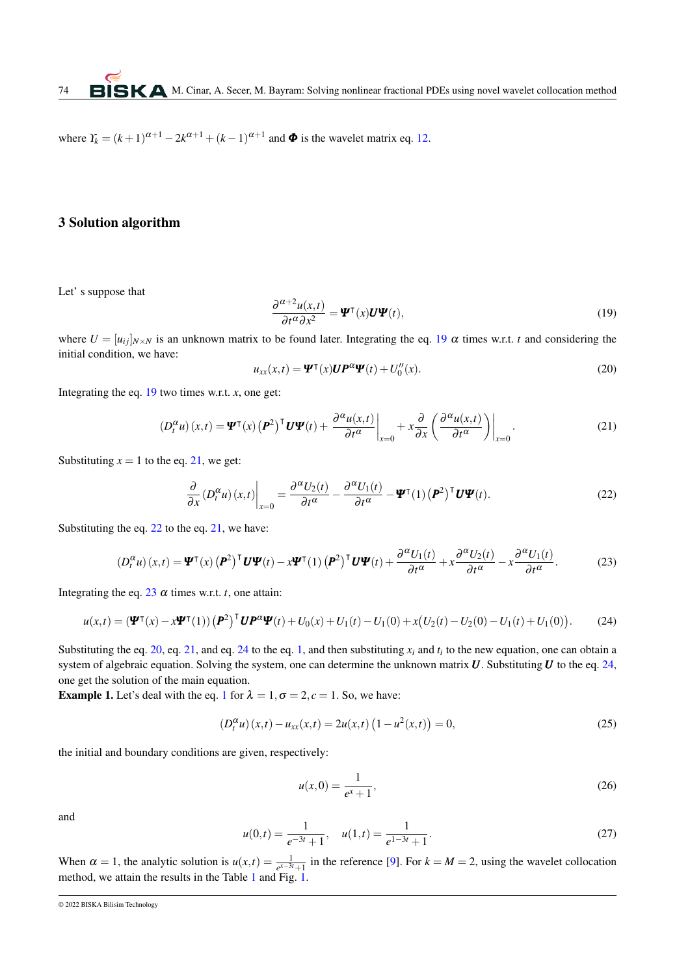where  $Y_k = (k+1)^{\alpha+1} - 2k^{\alpha+1} + (k-1)^{\alpha+1}$  and  $\Phi$  is the wavelet matrix eq. [12.](#page-2-0)

# 3 Solution algorithm

<span id="page-3-0"></span>Let' s suppose that

$$
\frac{\partial^{\alpha+2}u(x,t)}{\partial t^{\alpha}\partial x^2} = \mathbf{\Psi}^{\mathsf{T}}(x)\mathbf{U}\mathbf{\Psi}(t),\tag{19}
$$

where  $U = [u_{ij}]_{N \times N}$  is an unknown matrix to be found later. Integrating the eq. [19](#page-3-0)  $\alpha$  times w.r.t. *t* and considering the initial condition, we have:

<span id="page-3-1"></span>
$$
u_{xx}(x,t) = \mathbf{\Psi}^{\mathsf{T}}(x)\mathbf{U}\mathbf{P}^{\alpha}\mathbf{\Psi}(t) + U_0''(x).
$$
 (20)

Integrating the eq.  $19$  two times w.r.t. *x*, one get:

<span id="page-3-4"></span>
$$
\left(D_t^{\alpha} u\right)(x,t) = \Psi^{\mathsf{T}}(x) \left(P^2\right)^{\mathsf{T}} U \Psi(t) + \left.\frac{\partial^{\alpha} u(x,t)}{\partial t^{\alpha}}\right|_{x=0} + x \frac{\partial}{\partial x} \left(\frac{\partial^{\alpha} u(x,t)}{\partial t^{\alpha}}\right)\right|_{x=0}.\tag{21}
$$

Substituting  $x = 1$  to the eq. [21,](#page-3-1) we get:

<span id="page-3-5"></span><span id="page-3-3"></span><span id="page-3-2"></span>
$$
\frac{\partial}{\partial x} \left( D_t^{\alpha} u \right) (x, t) \bigg|_{x=0} = \frac{\partial^{\alpha} U_2(t)}{\partial t^{\alpha}} - \frac{\partial^{\alpha} U_1(t)}{\partial t^{\alpha}} - \mathbf{\Psi}^{\mathsf{T}}(1) \left( \mathbf{P}^2 \right)^{\mathsf{T}} \mathbf{U} \mathbf{\Psi}(t). \tag{22}
$$

Substituting the eq. [22](#page-3-2) to the eq. [21,](#page-3-1) we have:

$$
(D_t^{\alpha}u)(x,t) = \mathbf{\Psi}^{\mathsf{T}}(x) \left(\mathbf{P}^2\right)^{\mathsf{T}} \mathbf{U} \mathbf{\Psi}(t) - x \mathbf{\Psi}^{\mathsf{T}}(1) \left(\mathbf{P}^2\right)^{\mathsf{T}} \mathbf{U} \mathbf{\Psi}(t) + \frac{\partial^{\alpha} U_1(t)}{\partial t^{\alpha}} + x \frac{\partial^{\alpha} U_2(t)}{\partial t^{\alpha}} - x \frac{\partial^{\alpha} U_1(t)}{\partial t^{\alpha}}.
$$
 (23)

Integrating the eq. [23](#page-3-3)  $\alpha$  times w.r.t. *t*, one attain:

$$
u(x,t) = (\mathbf{\Psi}^{\mathsf{T}}(x) - x\mathbf{\Psi}^{\mathsf{T}}(1)) (\mathbf{P}^2)^{\mathsf{T}} \mathbf{U} \mathbf{P}^{\alpha} \mathbf{\Psi}(t) + U_0(x) + U_1(t) - U_1(0) + x(U_2(t) - U_2(0) - U_1(t) + U_1(0)).
$$
 (24)

Substituting the eq. [20,](#page-3-4) eq. [21,](#page-3-1) and eq. [24](#page-3-5) to the eq. [1,](#page-0-0) and then substituting  $x_i$  and  $t_i$  to the new equation, one can obtain a system of algebraic equation. Solving the system, one can determine the unknown matrix *U*. Substituting *U* to the eq. [24,](#page-3-5) one get the solution of the main equation.

**Example [1](#page-0-0).** Let's deal with the eq. 1 for  $\lambda = 1, \sigma = 2, c = 1$ . So, we have:

$$
(D_t^{\alpha} u)(x,t) - u_{xx}(x,t) = 2u(x,t) (1 - u^2(x,t)) = 0,
$$
\n(25)

the initial and boundary conditions are given, respectively:

$$
u(x,0) = \frac{1}{e^x + 1},
$$
\n(26)

and

$$
u(0,t) = \frac{1}{e^{-3t} + 1}, \quad u(1,t) = \frac{1}{e^{1-3t} + 1}.
$$
 (27)

When  $\alpha = 1$ , the analytic solution is  $u(x,t) = \frac{1}{e^{x-3t}+1}$  in the reference [\[9\]](#page-5-8). For  $k = M = 2$ , using the wavelet collocation method, we attain the results in the Table [1](#page-4-0) and Fig.  $\overline{1}$ .

<sup>© 2022</sup> BISKA Bilisim Technology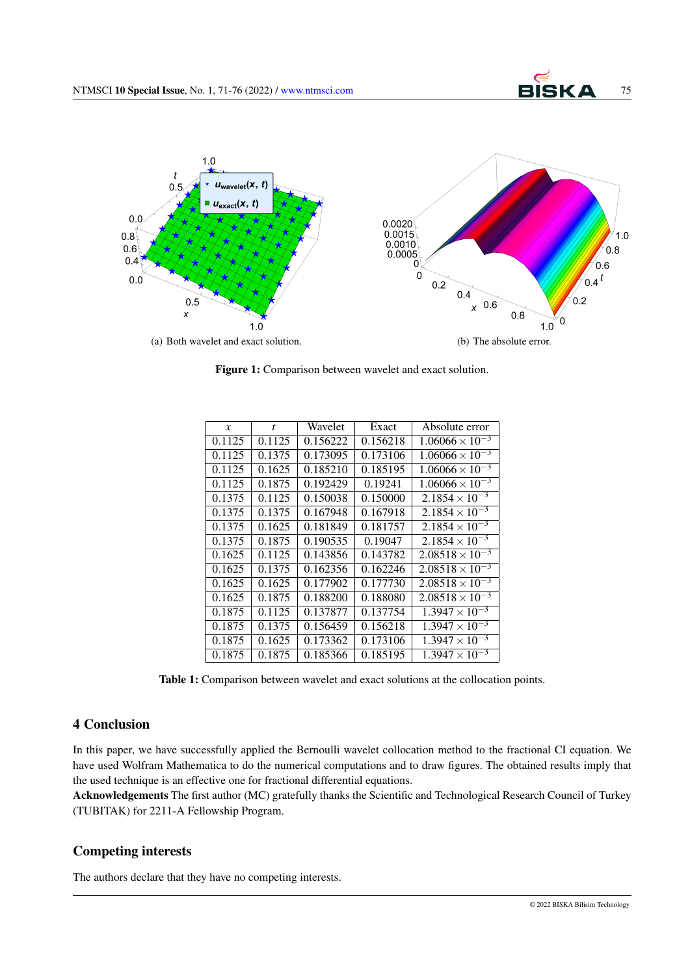<span id="page-4-1"></span>

Figure 1: Comparison between wavelet and exact solution.

<span id="page-4-0"></span>

| $\boldsymbol{x}$ | $\mathbf{f}$ | Wavelet  | Exact    | Absolute error           |
|------------------|--------------|----------|----------|--------------------------|
| 0.1125           | 0.1125       | 0.156222 | 0.156218 | $1.06066 \times 10^{-3}$ |
| 0.1125           | 0.1375       | 0.173095 | 0.173106 | $1.06066 \times 10^{-3}$ |
| 0.1125           | 0.1625       | 0.185210 | 0.185195 | $1.06066 \times 10^{-3}$ |
| 0.1125           | 0.1875       | 0.192429 | 0.19241  | $1.06066 \times 10^{-3}$ |
| 0.1375           | 0.1125       | 0.150038 | 0.150000 | $2.1854 \times 10^{-3}$  |
| 0.1375           | 0.1375       | 0.167948 | 0.167918 | $2.1854 \times 10^{-3}$  |
| 0.1375           | 0.1625       | 0.181849 | 0.181757 | $2.1854 \times 10^{-3}$  |
| 0.1375           | 0.1875       | 0.190535 | 0.19047  | $2.1854 \times 10^{-3}$  |
| 0.1625           | 0.1125       | 0.143856 | 0.143782 | $2.08518 \times 10^{-3}$ |
| 0.1625           | 0.1375       | 0.162356 | 0.162246 | $2.08518 \times 10^{-3}$ |
| 0.1625           | 0.1625       | 0.177902 | 0.177730 | $2.08518 \times 10^{-3}$ |
| 0.1625           | 0.1875       | 0.188200 | 0.188080 | $2.08518 \times 10^{-3}$ |
| 0.1875           | 0.1125       | 0.137877 | 0.137754 | $1.3947 \times 10^{-3}$  |
| 0.1875           | 0.1375       | 0.156459 | 0.156218 | $1.3947 \times 10^{-3}$  |
| 0.1875           | 0.1625       | 0.173362 | 0.173106 | $1.3947 \times 10^{-3}$  |
| 0.1875           | 0.1875       | 0.185366 | 0.185195 | $1.3947 \times 10^{-3}$  |

Table 1: Comparison between wavelet and exact solutions at the collocation points.

## 4 Conclusion

In this paper, we have successfully applied the Bernoulli wavelet collocation method to the fractional CI equation. We have used Wolfram Mathematica to do the numerical computations and to draw figures. The obtained results imply that the used technique is an effective one for fractional differential equations.

Acknowledgements The first author (MC) gratefully thanks the Scientific and Technological Research Council of Turkey (TUBITAK) for 2211-A Fellowship Program.

## Competing interests

The authors declare that they have no competing interests.